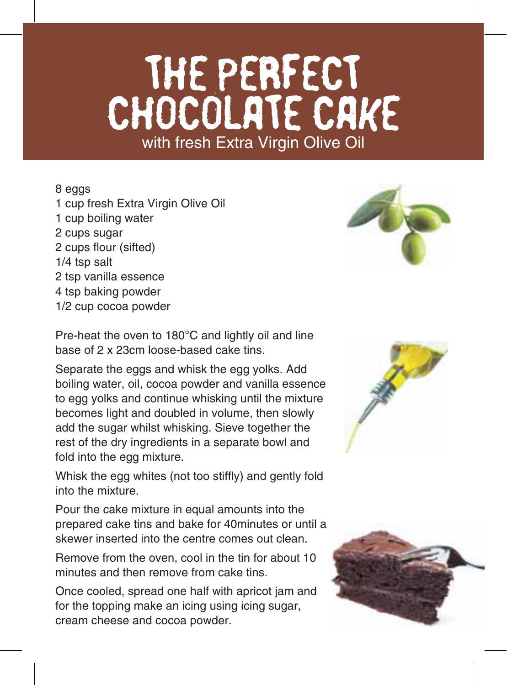## THE PERFECT CHOCOLATE CAKE with fresh Extra Virgin Olive Oil

## 8 eggs

1 cup fresh Extra Virgin Olive Oil 1 cup boiling water 2 cups sugar 2 cups flour (sifted) 1/4 tsp salt 2 tsp vanilla essence 4 tsp baking powder 1/2 cup cocoa powder



Pre-heat the oven to 180°C and lightly oil and line base of 2 x 23cm loose-based cake tins.

Separate the eggs and whisk the egg yolks. Add boiling water, oil, cocoa powder and vanilla essence to egg yolks and continue whisking until the mixture becomes light and doubled in volume, then slowly add the sugar whilst whisking. Sieve together the rest of the dry ingredients in a separate bowl and fold into the egg mixture.

Whisk the egg whites (not too stiffly) and gently fold into the mixture.

Pour the cake mixture in equal amounts into the prepared cake tins and bake for 40minutes or until a skewer inserted into the centre comes out clean.

Remove from the oven, cool in the tin for about 10 minutes and then remove from cake tins.

Once cooled, spread one half with apricot jam and for the topping make an icing using icing sugar, cream cheese and cocoa powder.